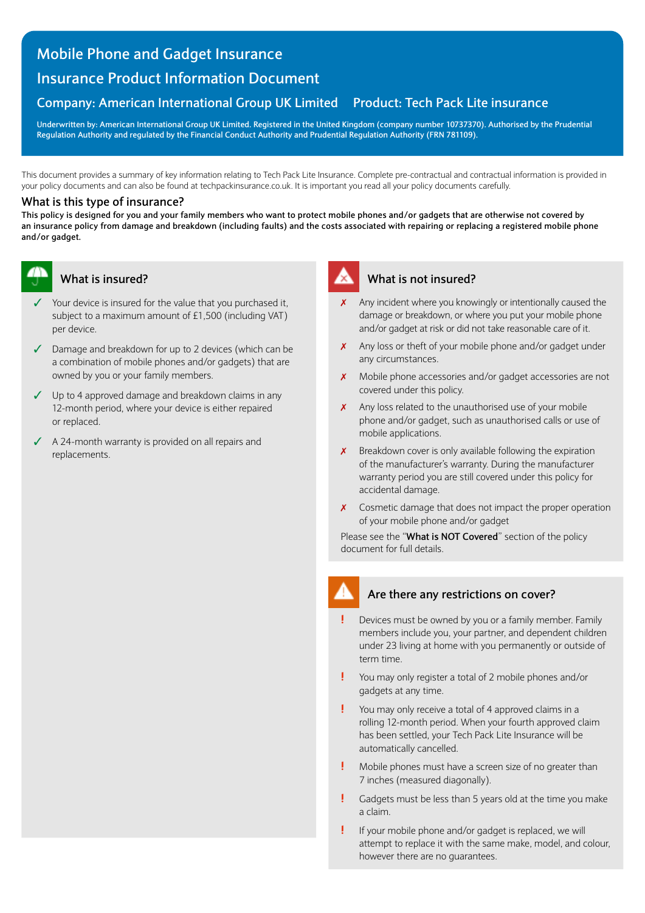# **Mobile Phone and Gadget Insurance**

# **Insurance Product Information Document**

# **Company: American International Group UK Limited Product: Tech Pack Lite insurance**

**Underwritten by: American International Group UK Limited. Registered in the United Kingdom (company number 10737370). Authorised by the Prudential Regulation Authority and regulated by the Financial Conduct Authority and Prudential Regulation Authority (FRN 781109).**

This document provides a summary of key information relating to Tech Pack Lite Insurance. Complete pre-contractual and contractual information is provided in your policy documents and can also be found at [techpackinsurance.co.uk.](https://techpackinsurance.co.uk) It is important you read all your policy documents carefully.

## **What is this type of insurance?**

**This policy is designed for you and your family members who want to protect mobile phones and/or gadgets that are otherwise not covered by an insurance policy from damage and breakdown (including faults) and the costs associated with repairing or replacing a registered mobile phone and/or gadget.**

## **What is insured?**

- Your device is insured for the value that you purchased it, subject to a maximum amount of £1,500 (including VAT) per device.
- $\checkmark$  Damage and breakdown for up to 2 devices (which can be a combination of mobile phones and/or gadgets) that are owned by you or your family members.
- $\checkmark$  Up to 4 approved damage and breakdown claims in any 12-month period, where your device is either repaired or replaced.
- $\triangleleft$  A 24-month warranty is provided on all repairs and replacements.

## **What is not insured?**

- Any incident where you knowingly or intentionally caused the damage or breakdown, or where you put your mobile phone and/or gadget at risk or did not take reasonable care of it.
- $x$  Any loss or theft of your mobile phone and/or gadget under any circumstances.
- Mobile phone accessories and/or gadget accessories are not covered under this policy.
- $x$  Any loss related to the unauthorised use of your mobile phone and/or gadget, such as unauthorised calls or use of mobile applications.
- $\chi$  Breakdown cover is only available following the expiration of the manufacturer's warranty. During the manufacturer warranty period you are still covered under this policy for accidental damage.
- $\chi$  Cosmetic damage that does not impact the proper operation of your mobile phone and/or gadget

Please see the "**What is NOT Covered**" section of the policy document for full details.

# **Are there any restrictions on cover?**

- **!** Devices must be owned by you or a family member. Family members include you, your partner, and dependent children under 23 living at home with you permanently or outside of term time.
- **!** You may only register a total of 2 mobile phones and/or gadgets at any time.
- **!** You may only receive a total of 4 approved claims in a rolling 12-month period. When your fourth approved claim has been settled, your Tech Pack Lite Insurance will be automatically cancelled.
- **!** Mobile phones must have a screen size of no greater than 7 inches (measured diagonally).
- **!** Gadgets must be less than 5 years old at the time you make a claim.
- **!** If your mobile phone and/or gadget is replaced, we will attempt to replace it with the same make, model, and colour, however there are no guarantees.